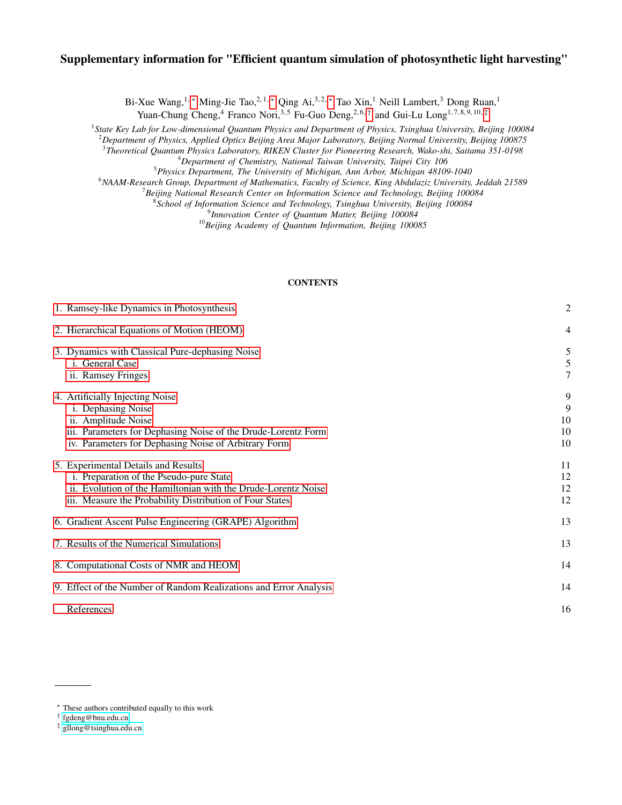# Supplementary information for "Efficient quantum simulation of photosynthetic light harvesting"

Bi-Xue Wang,<sup>1, [∗](#page-0-0)</sup> Ming-Jie Tao,<sup>2,1, ∗</sup> Qing Ai,<sup>3,2, ∗</sup> Tao Xin,<sup>1</sup> Neill Lambert,<sup>3</sup> Dong Ruan,<sup>1</sup>

Yuan-Chung Cheng,<sup>4</sup> Franco Nori,<sup>3,5</sup> Fu-Guo Deng,<sup>2,6,[†](#page-0-1)</sup> and Gui-Lu Long<sup>1,7,8,9,10,[‡](#page-0-2)</sup>

1 *State Key Lab for Low-dimensional Quantum Physics and Department of Physics, Tsinghua University, Beijing 100084*

<sup>2</sup>*Department of Physics, Applied Optics Beijing Area Major Laboratory, Beijing Normal University, Beijing 100875*

3 *Theoretical Quantum Physics Laboratory, RIKEN Cluster for Pioneering Research, Wako-shi, Saitama 351-0198*

<sup>4</sup>*Department of Chemistry, National Taiwan University, Taipei City 106* <sup>5</sup>*Physics Department, The University of Michigan, Ann Arbor, Michigan 48109-1040*

<sup>6</sup>*NAAM-Research Group, Department of Mathematics, Faculty of Science, King Abdulaziz University, Jeddah 21589*

<sup>7</sup>*Beijing National Research Center on Information Science and Technology, Beijing 100084*

8 *School of Information Science and Technology, Tsinghua University, Beijing 100084*

9 *Innovation Center of Quantum Matter, Beijing 100084*

<sup>10</sup>*Beijing Academy of Quantum Information, Beijing 100085*

# **CONTENTS**

| 1. Ramsey-like Dynamics in Photosynthesis                                                                                                                                                                   | $\overline{c}$           |
|-------------------------------------------------------------------------------------------------------------------------------------------------------------------------------------------------------------|--------------------------|
| 2. Hierarchical Equations of Motion (HEOM)                                                                                                                                                                  | 4                        |
| 3. Dynamics with Classical Pure-dephasing Noise<br>i. General Case<br>ii. Ramsey Fringes                                                                                                                    | 5<br>5<br>7              |
| 4. Artificially Injecting Noise<br>i. Dephasing Noise<br>ii. Amplitude Noise<br>iii. Parameters for Dephasing Noise of the Drude-Lorentz Form<br>iv. Parameters for Dephasing Noise of Arbitrary Form       | 9<br>9<br>10<br>10<br>10 |
| 5. Experimental Details and Results<br>i. Preparation of the Pseudo-pure State<br>ii. Evolution of the Hamiltonian with the Drude-Lorentz Noise<br>iii. Measure the Probability Distribution of Four States | 11<br>12<br>12<br>12     |
| 6. Gradient Ascent Pulse Engineering (GRAPE) Algorithm                                                                                                                                                      | 13                       |
| 7. Results of the Numerical Simulations                                                                                                                                                                     | 13                       |
| 8. Computational Costs of NMR and HEOM                                                                                                                                                                      | 14                       |
| 9. Effect of the Number of Random Realizations and Error Analysis                                                                                                                                           | 14                       |
| References                                                                                                                                                                                                  | 16                       |

<span id="page-0-0"></span><sup>∗</sup> These authors contributed equally to this work

<span id="page-0-1"></span><sup>†</sup> [fgdeng@bnu.edu.cn](mailto:fgdeng@bnu.edu.cn)

<span id="page-0-2"></span><sup>‡</sup> [gllong@tsinghua.edu.cn](mailto:gllong@tsinghua.edu.cn)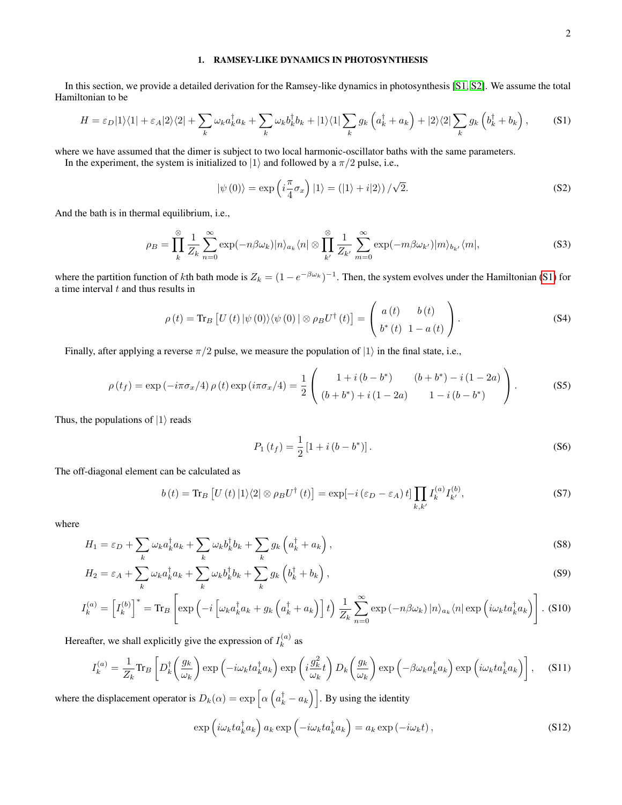# <span id="page-1-0"></span>1. RAMSEY-LIKE DYNAMICS IN PHOTOSYNTHESIS

In this section, we provide a detailed derivation for the Ramsey-like dynamics in photosynthesis [\[S1,](#page-15-1) [S2\]](#page-15-2). We assume the total Hamiltonian to be

<span id="page-1-1"></span>
$$
H = \varepsilon_D |1\rangle\langle 1| + \varepsilon_A |2\rangle\langle 2| + \sum_k \omega_k a_k^\dagger a_k + \sum_k \omega_k b_k^\dagger b_k + |1\rangle\langle 1| \sum_k g_k \left(a_k^\dagger + a_k\right) + |2\rangle\langle 2| \sum_k g_k \left(b_k^\dagger + b_k\right),\tag{S1}
$$

where we have assumed that the dimer is subject to two local harmonic-oscillator baths with the same parameters.

In the experiment, the system is initialized to  $|1\rangle$  and followed by a  $\pi/2$  pulse, i.e.,

$$
|\psi(0)\rangle = \exp\left(i\frac{\pi}{4}\sigma_x\right)|1\rangle = (|1\rangle + i|2\rangle)/\sqrt{2}.
$$
 (S2)

And the bath is in thermal equilibrium, i.e.,

$$
\rho_B = \prod_k^{\infty} \frac{1}{Z_k} \sum_{n=0}^{\infty} \exp(-n\beta \omega_k) |n\rangle_{a_k} \langle n| \otimes \prod_{k'}^{\infty} \frac{1}{Z_{k'}} \sum_{m=0}^{\infty} \exp(-m\beta \omega_{k'}) |m\rangle_{b_{k'}} \langle m|,
$$
 (S3)

where the partition function of kth bath mode is  $Z_k = (1 - e^{-\beta \omega_k})^{-1}$ . Then, the system evolves under the Hamiltonian [\(S1\)](#page-1-1) for a time interval  $t$  and thus results in

$$
\rho(t) = \text{Tr}_B \left[ U(t) \left| \psi(0) \right\rangle \left\langle \psi(0) \right| \otimes \rho_B U^{\dagger}(t) \right] = \begin{pmatrix} a(t) & b(t) \\ b^*(t) & 1 - a(t) \end{pmatrix} . \tag{S4}
$$

Finally, after applying a reverse  $\pi/2$  pulse, we measure the population of  $|1\rangle$  in the final state, i.e.,

$$
\rho(t_f) = \exp(-i\pi\sigma_x/4)\,\rho(t)\exp(i\pi\sigma_x/4) = \frac{1}{2}\left(\begin{array}{cc}1+i\,(b-b^*) & (b+b^*)-i\,(1-2a)\\(b+b^*)+i\,(1-2a) & 1-i\,(b-b^*)\end{array}\right). \tag{S5}
$$

Thus, the populations of  $|1\rangle$  reads

$$
P_1(t_f) = \frac{1}{2} \left[ 1 + i \left( b - b^* \right) \right]. \tag{S6}
$$

The off-diagonal element can be calculated as

$$
b(t) = \text{Tr}_B \left[ U(t) \left| 1 \right\rangle \langle 2 \right| \otimes \rho_B U^{\dagger}(t) \right] = \exp[-i(\varepsilon_D - \varepsilon_A) t] \prod_{k,k'} I_k^{(a)} I_{k'}^{(b)}, \tag{S7}
$$

where

$$
H_1 = \varepsilon_D + \sum_k \omega_k a_k^\dagger a_k + \sum_k \omega_k b_k^\dagger b_k + \sum_k g_k \left( a_k^\dagger + a_k \right),\tag{S8}
$$

$$
H_2 = \varepsilon_A + \sum_k \omega_k a_k^\dagger a_k + \sum_k \omega_k b_k^\dagger b_k + \sum_k g_k \left( b_k^\dagger + b_k \right),\tag{S9}
$$

$$
I_k^{(a)} = \left[ I_k^{(b)} \right]^* = \text{Tr}_B \left[ \exp \left( -i \left[ \omega_k a_k^\dagger a_k + g_k \left( a_k^\dagger + a_k \right) \right] t \right) \frac{1}{Z_k} \sum_{n=0}^\infty \exp \left( -n \beta \omega_k \right) |n\rangle_{a_k} \langle n| \exp \left( i \omega_k t a_k^\dagger a_k \right) \right].
$$
 (S10)

Hereafter, we shall explicitly give the expression of  $I_k^{(a)}$  $k^{(a)}$  as

$$
I_{k}^{(a)} = \frac{1}{Z_{k}} \text{Tr}_{B} \left[ D_{k}^{\dagger} \left( \frac{g_{k}}{\omega_{k}} \right) \exp \left( -i\omega_{k} t a_{k}^{\dagger} a_{k} \right) \exp \left( i \frac{g_{k}^{2}}{\omega_{k}} t \right) D_{k} \left( \frac{g_{k}}{\omega_{k}} \right) \exp \left( -\beta \omega_{k} a_{k}^{\dagger} a_{k} \right) \exp \left( i\omega_{k} t a_{k}^{\dagger} a_{k} \right) \right], \quad (S11)
$$

where the displacement operator is  $D_k(\alpha) = \exp \left[ \alpha \left( a_k^{\dagger} - a_k \right) \right]$ . By using the identity

$$
\exp\left(i\omega_k ta_k^{\dagger}a_k\right)a_k \exp\left(-i\omega_k ta_k^{\dagger}a_k\right) = a_k \exp\left(-i\omega_k t\right),\tag{S12}
$$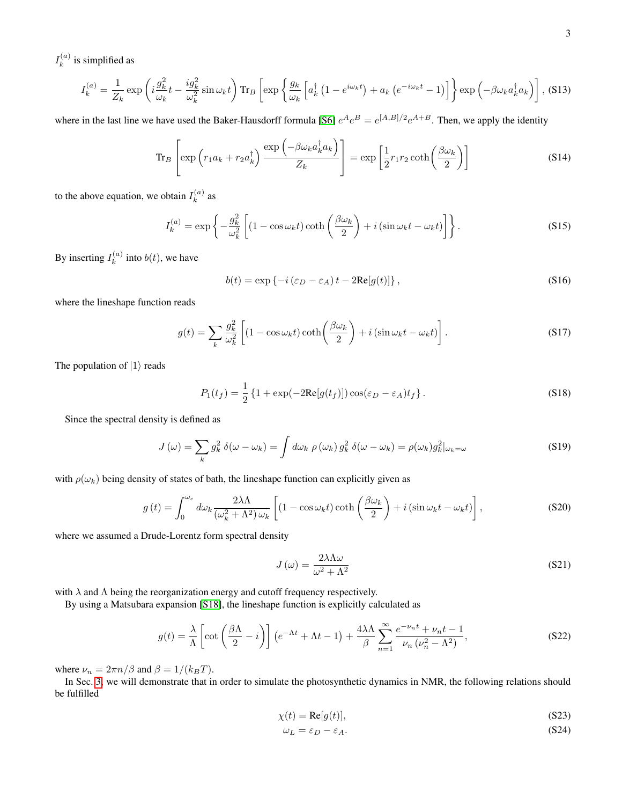$I_k^{(a)}$  $k^{(a)}$  is simplified as

$$
I_k^{(a)} = \frac{1}{Z_k} \exp\left(i\frac{g_k^2}{\omega_k}t - \frac{ig_k^2}{\omega_k^2}\sin\omega_k t\right) \text{Tr}_B\left[\exp\left\{\frac{g_k}{\omega_k}\left[a_k^\dagger\left(1 - e^{i\omega_k t}\right) + a_k\left(e^{-i\omega_k t} - 1\right)\right]\right\}\exp\left(-\beta\omega_k a_k^\dagger a_k\right)\right],
$$
(S13)

where in the last line we have used the Baker-Hausdorff formula [\[S6\]](#page-15-3)  $e^A e^B = e^{[A,B]/2} e^{A+B}$ . Then, we apply the identity

$$
\operatorname{Tr}_B\left[\exp\left(r_1 a_k + r_2 a_k^{\dagger}\right) \frac{\exp\left(-\beta \omega_k a_k^{\dagger} a_k\right)}{Z_k}\right] = \exp\left[\frac{1}{2}r_1 r_2 \coth\left(\frac{\beta \omega_k}{2}\right)\right]
$$
(S14)

to the above equation, we obtain  $I_k^{(a)}$  $k^{(a)}$  as

$$
I_k^{(a)} = \exp\left\{-\frac{g_k^2}{\omega_k^2} \left[ (1 - \cos \omega_k t) \coth\left(\frac{\beta \omega_k}{2}\right) + i \left(\sin \omega_k t - \omega_k t\right) \right] \right\}.
$$
 (S15)

By inserting  $I_k^{(a)}$  $k^{(a)}$  into  $b(t)$ , we have

$$
b(t) = \exp\{-i(\varepsilon_D - \varepsilon_A)t - 2\text{Re}[g(t)]\},\tag{S16}
$$

where the lineshape function reads

$$
g(t) = \sum_{k} \frac{g_k^2}{\omega_k^2} \left[ (1 - \cos \omega_k t) \coth\left(\frac{\beta \omega_k}{2}\right) + i \left( \sin \omega_k t - \omega_k t \right) \right].
$$
 (S17)

The population of  $|1\rangle$  reads

$$
P_1(t_f) = \frac{1}{2} \left\{ 1 + \exp(-2\text{Re}[g(t_f)]) \cos(\varepsilon_D - \varepsilon_A)t_f \right\}.
$$
 (S18)

Since the spectral density is defined as

$$
J(\omega) = \sum_{k} g_k^2 \delta(\omega - \omega_k) = \int d\omega_k \, \rho(\omega_k) g_k^2 \, \delta(\omega - \omega_k) = \rho(\omega_k) g_k^2 |_{\omega_k = \omega}
$$
 (S19)

with  $\rho(\omega_k)$  being density of states of bath, the lineshape function can explicitly given as

<span id="page-2-0"></span>
$$
g(t) = \int_0^{\omega_c} d\omega_k \frac{2\lambda\Lambda}{(\omega_k^2 + \Lambda^2)\,\omega_k} \left[ (1 - \cos\omega_k t) \coth\left(\frac{\beta\omega_k}{2}\right) + i\left(\sin\omega_k t - \omega_k t\right) \right],\tag{S20}
$$

where we assumed a Drude-Lorentz form spectral density

$$
J(\omega) = \frac{2\lambda\Lambda\omega}{\omega^2 + \Lambda^2}
$$
 (S21)

with  $\lambda$  and  $\Lambda$  being the reorganization energy and cutoff frequency respectively.

By using a Matsubara expansion [\[S18\]](#page-15-4), the lineshape function is explicitly calculated as

$$
g(t) = \frac{\lambda}{\Lambda} \left[ \cot \left( \frac{\beta \Lambda}{2} - i \right) \right] \left( e^{-\Lambda t} + \Lambda t - 1 \right) + \frac{4\lambda \Lambda}{\beta} \sum_{n=1}^{\infty} \frac{e^{-\nu_n t} + \nu_n t - 1}{\nu_n \left( \nu_n^2 - \Lambda^2 \right)},
$$
(S22)

where  $\nu_n = 2\pi n/\beta$  and  $\beta = 1/(k_BT)$ .

In Sec. [3,](#page-4-0) we will demonstrate that in order to simulate the photosynthetic dynamics in NMR, the following relations should be fulfilled

$$
\chi(t) = \text{Re}[g(t)],\tag{S23}
$$

$$
\omega_L = \varepsilon_D - \varepsilon_A. \tag{S24}
$$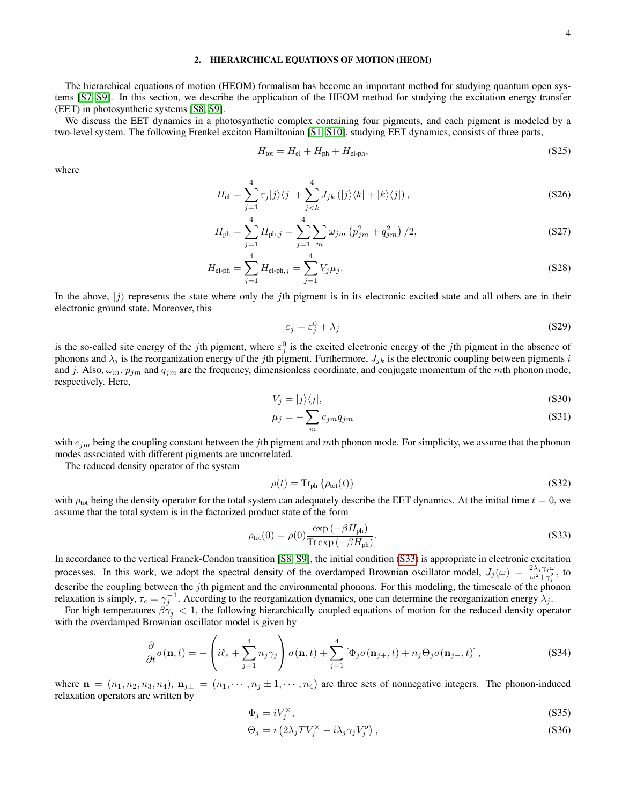# <span id="page-3-0"></span>2. HIERARCHICAL EQUATIONS OF MOTION (HEOM)

The hierarchical equations of motion (HEOM) formalism has become an important method for studying quantum open systems [\[S7](#page-15-5)[–S9\]](#page-15-6). In this section, we describe the application of the HEOM method for studying the excitation energy transfer (EET) in photosynthetic systems [\[S8,](#page-15-7) [S9\]](#page-15-6).

We discuss the EET dynamics in a photosynthetic complex containing four pigments, and each pigment is modeled by a two-level system. The following Frenkel exciton Hamiltonian [\[S1,](#page-15-1) [S10\]](#page-15-8), studying EET dynamics, consists of three parts,

$$
H_{\text{tot}} = H_{\text{el}} + H_{\text{ph}} + H_{\text{el-ph}},\tag{S25}
$$

where

$$
H_{\rm el} = \sum_{j=1}^{4} \varepsilon_j |j\rangle\langle j| + \sum_{j < k}^{4} J_{jk} \left( |j\rangle\langle k| + |k\rangle\langle j| \right),\tag{S26}
$$

$$
H_{\rm ph} = \sum_{j=1}^{4} H_{\rm ph,j} = \sum_{j=1}^{4} \sum_{m} \omega_{jm} \left( p_{jm}^2 + q_{jm}^2 \right) / 2, \tag{S27}
$$

$$
H_{\text{el-ph}} = \sum_{j=1}^{4} H_{\text{el-ph},j} = \sum_{j=1}^{4} V_j \mu_j.
$$
 (S28)

In the above,  $|j\rangle$  represents the state where only the jth pigment is in its electronic excited state and all others are in their electronic ground state. Moreover, this

$$
\varepsilon_j = \varepsilon_j^0 + \lambda_j \tag{S29}
$$

is the so-called site energy of the jth pigment, where  $\varepsilon_j^0$  is the excited electronic energy of the jth pigment in the absence of phonons and  $\lambda_j$  is the reorganization energy of the jth pigment. Furthermore,  $J_{jk}$  is the electronic coupling between pigments i and j. Also,  $\omega_m$ ,  $p_{jm}$  and  $q_{jm}$  are the frequency, dimensionless coordinate, and conjugate momentum of the mth phonon mode, respectively. Here,

$$
V_j = |j\rangle\langle j|,\tag{S30}
$$

$$
\mu_j = -\sum_m c_{jm} q_{jm} \tag{S31}
$$

with  $c_{im}$  being the coupling constant between the jth pigment and mth phonon mode. For simplicity, we assume that the phonon modes associated with different pigments are uncorrelated.

The reduced density operator of the system

$$
\rho(t) = \text{Tr}_{\text{ph}} \left\{ \rho_{\text{tot}}(t) \right\} \tag{S32}
$$

with  $\rho_{\text{tot}}$  being the density operator for the total system can adequately describe the EET dynamics. At the initial time  $t = 0$ , we assume that the total system is in the factorized product state of the form

<span id="page-3-1"></span>
$$
\rho_{\text{tot}}(0) = \rho(0) \frac{\exp\left(-\beta H_{\text{ph}}\right)}{\text{Tr}\exp\left(-\beta H_{\text{ph}}\right)}.\tag{S33}
$$

In accordance to the vertical Franck-Condon transition [\[S8,](#page-15-7) [S9\]](#page-15-6), the initial condition [\(S33\)](#page-3-1) is appropriate in electronic excitation processes. In this work, we adopt the spectral density of the overdamped Brownian oscillator model,  $J_j(\omega) = \frac{2\lambda_j \gamma_j \omega}{\omega^2 + \gamma_j^2}$ , to describe the coupling between the jth pigment and the environmental phonons. For this modeling, the timescale of the phonon relaxation is simply,  $\tau_c = \gamma_j^{-1}$ . According to the reorganization dynamics, one can determine the reorganization energy  $\lambda_j$ .

For high temperatures  $\beta \gamma_j < 1$ , the following hierarchically coupled equations of motion for the reduced density operator with the overdamped Brownian oscillator model is given by

<span id="page-3-2"></span>
$$
\frac{\partial}{\partial t}\sigma(\mathbf{n},t) = -\left(i\ell_e + \sum_{j=1}^4 n_j \gamma_j\right)\sigma(\mathbf{n},t) + \sum_{j=1}^4 \left[\Phi_j \sigma(\mathbf{n}_{j+},t) + n_j \Theta_j \sigma(\mathbf{n}_{j-},t)\right],\tag{S34}
$$

where  $\mathbf{n} = (n_1, n_2, n_3, n_4)$ ,  $\mathbf{n}_{j\pm} = (n_1, \dots, n_j \pm 1, \dots, n_4)$  are three sets of nonnegative integers. The phonon-induced relaxation operators are written by

$$
\Phi_j = iV_j^\times,\tag{S35}
$$

$$
\Theta_j = i \left( 2\lambda_j T V_j^{\times} - i\lambda_j \gamma_j V_j^o \right),\tag{S36}
$$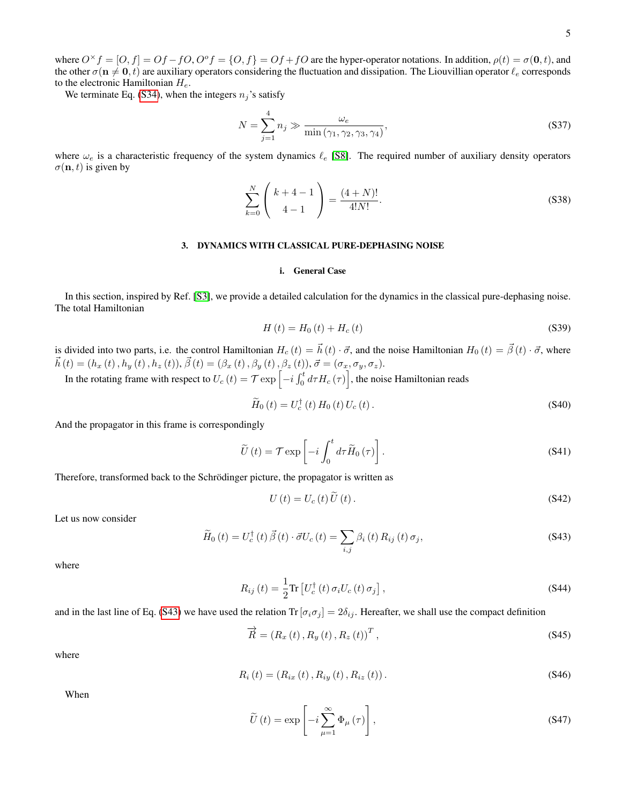where  $O^{\times} f = [O, f] = Of - fO$ ,  $O^{\circ} f = \{O, f\} = Of + fO$  are the hyper-operator notations. In addition,  $\rho(t) = \sigma(0, t)$ , and the other  $\sigma(n \neq 0, t)$  are auxiliary operators considering the fluctuation and dissipation. The Liouvillian operator  $\ell_e$  corresponds to the electronic Hamiltonian  $H_e$ .

We terminate Eq. [\(S34\)](#page-3-2), when the integers  $n_j$ 's satisfy

$$
N = \sum_{j=1}^{4} n_j \gg \frac{\omega_e}{\min(\gamma_1, \gamma_2, \gamma_3, \gamma_4)},
$$
\n(S37)

where  $\omega_e$  is a characteristic frequency of the system dynamics  $\ell_e$  [\[S8\]](#page-15-7). The required number of auxiliary density operators  $\sigma(\mathbf{n}, t)$  is given by

$$
\sum_{k=0}^{N} \binom{k+4-1}{4-1} = \frac{(4+N)!}{4!N!}.
$$
\n(S38)

### <span id="page-4-0"></span>3. DYNAMICS WITH CLASSICAL PURE-DEPHASING NOISE

#### <span id="page-4-1"></span>i. General Case

In this section, inspired by Ref. [\[S3\]](#page-15-9), we provide a detailed calculation for the dynamics in the classical pure-dephasing noise. The total Hamiltonian

$$
H(t) = H_0(t) + H_c(t)
$$
\n(S39)

is divided into two parts, i.e. the control Hamiltonian  $H_c(t) = \vec{h}(t) \cdot \vec{\sigma}$ , and the noise Hamiltonian  $H_0(t) = \vec{\beta}(t) \cdot \vec{\sigma}$ , where  $\vec{h}(t) = (h_x(t), h_y(t), h_z(t)), \vec{\beta}(t) = (\beta_x(t), \beta_y(t), \vec{\beta_z}(t)), \vec{\sigma} = (\sigma_x, \sigma_y, \sigma_z).$ 

In the rotating frame with respect to  $U_c(t) = \mathcal{T} \exp\left[-i \int_0^t d\tau H_c(\tau)\right]$ , the noise Hamiltonian reads

$$
\widetilde{H}_0(t) = U_c^{\dagger}(t) H_0(t) U_c(t).
$$
\n
$$
(S40)
$$

And the propagator in this frame is correspondingly

$$
\widetilde{U}\left(t\right) = \mathcal{T} \exp\left[-i \int_0^t d\tau \widetilde{H}_0\left(\tau\right)\right].
$$
\n(S41)

Therefore, transformed back to the Schrödinger picture, the propagator is written as

$$
U(t) = U_c(t) U(t).
$$
 (S42)

Let us now consider

<span id="page-4-2"></span>
$$
\widetilde{H}_0(t) = U_c^{\dagger}(t) \vec{\beta}(t) \cdot \vec{\sigma} U_c(t) = \sum_{i,j} \beta_i(t) R_{ij}(t) \sigma_j,
$$
\n(S43)

where

$$
R_{ij}(t) = \frac{1}{2} \text{Tr} \left[ U_c^{\dagger}(t) \,\sigma_i U_c(t) \,\sigma_j \right],\tag{S44}
$$

and in the last line of Eq. [\(S43\)](#page-4-2) we have used the relation Tr  $[\sigma_i \sigma_j] = 2\delta_{ij}$ . Hereafter, we shall use the compact definition

$$
\overrightarrow{R} = (R_x(t), R_y(t), R_z(t))^T, \qquad (S45)
$$

where

$$
R_i(t) = (R_{ix}(t), R_{iy}(t), R_{iz}(t)).
$$
\n(S46)

When

<span id="page-4-3"></span>
$$
\widetilde{U}\left(t\right) = \exp\left[-i\sum_{\mu=1}^{\infty} \Phi_{\mu}\left(\tau\right)\right],\tag{S47}
$$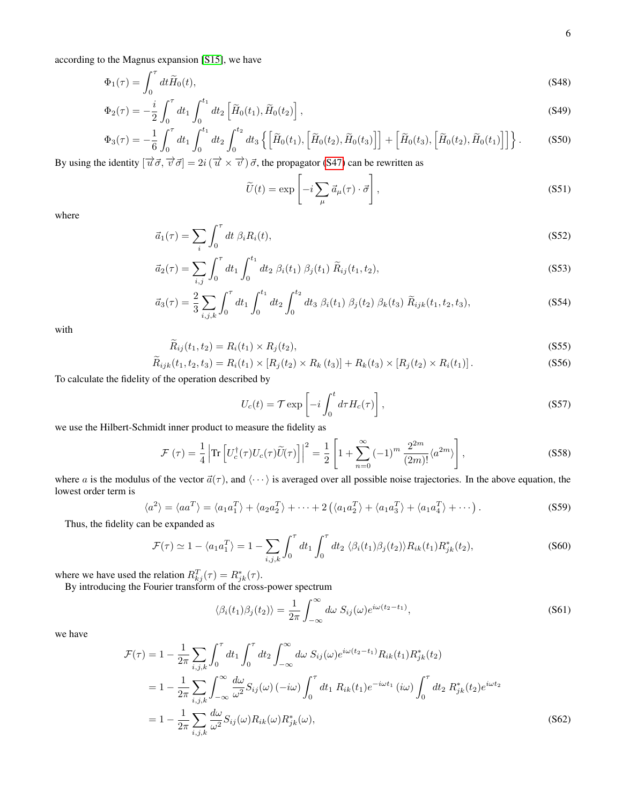according to the Magnus expansion [\[S15\]](#page-15-10), we have

$$
\Phi_1(\tau) = \int_0^\tau dt \widetilde{H}_0(t),\tag{S48}
$$

$$
\Phi_2(\tau) = -\frac{i}{2} \int_0^{\tau} dt_1 \int_0^{t_1} dt_2 \left[ \tilde{H}_0(t_1), \tilde{H}_0(t_2) \right],
$$
\n(S49)

$$
\Phi_3(\tau) = -\frac{1}{6} \int_0^{\tau} dt_1 \int_0^{t_1} dt_2 \int_0^{t_2} dt_3 \left\{ \left[ \tilde{H}_0(t_1), \left[ \tilde{H}_0(t_2), \tilde{H}_0(t_3) \right] \right] + \left[ \tilde{H}_0(t_3), \left[ \tilde{H}_0(t_2), \tilde{H}_0(t_1) \right] \right] \right\}.
$$
 (S50)

By using the identity  $[\vec{u}\vec{\sigma}, \vec{v}\vec{\sigma}] = 2i(\vec{u} \times \vec{v})\vec{\sigma}$ , the propagator [\(S47\)](#page-4-3) can be rewritten as

$$
\widetilde{U}(t) = \exp\left[-i\sum_{\mu} \vec{a}_{\mu}(\tau) \cdot \vec{\sigma}\right],
$$
\n(S51)

where

$$
\vec{a}_1(\tau) = \sum_i \int_0^{\tau} dt \ \beta_i R_i(t), \tag{S52}
$$

$$
\vec{a}_2(\tau) = \sum_{i,j} \int_0^{\tau} dt_1 \int_0^{t_1} dt_2 \ \beta_i(t_1) \ \beta_j(t_1) \ \widetilde{R}_{ij}(t_1, t_2), \tag{S53}
$$

$$
\vec{a}_3(\tau) = \frac{2}{3} \sum_{i,j,k} \int_0^{\tau} dt_1 \int_0^{t_1} dt_2 \int_0^{t_2} dt_3 \beta_i(t_1) \beta_j(t_2) \beta_k(t_3) \tilde{R}_{ijk}(t_1, t_2, t_3), \tag{S54}
$$

with

$$
\widetilde{R}_{ij}(t_1, t_2) = R_i(t_1) \times R_j(t_2),\tag{S55}
$$

$$
\widetilde{R}_{ijk}(t_1, t_2, t_3) = R_i(t_1) \times [R_j(t_2) \times R_k(t_3)] + R_k(t_3) \times [R_j(t_2) \times R_i(t_1)].
$$
\n(S56)

To calculate the fidelity of the operation described by

$$
U_c(t) = \mathcal{T} \exp\left[-i \int_0^t d\tau H_c(\tau)\right],
$$
\n(S57)

we use the Hilbert-Schmidt inner product to measure the fidelity as

$$
\mathcal{F}\left(\tau\right) = \frac{1}{4} \left| \text{Tr}\left[ U_c^{\dagger}(\tau) U_c(\tau) \widetilde{U}(\tau) \right] \right|^2 = \frac{1}{2} \left[ 1 + \sum_{n=0}^{\infty} \left( -1 \right)^m \frac{2^{2m}}{(2m)!} \langle a^{2m} \rangle \right],\tag{S58}
$$

where a is the modulus of the vector  $\vec{a}(\tau)$ , and  $\langle \cdots \rangle$  is averaged over all possible noise trajectories. In the above equation, the lowest order term is

$$
\langle a^2 \rangle = \langle aa^T \rangle = \langle a_1 a_1^T \rangle + \langle a_2 a_2^T \rangle + \dots + 2 \left( \langle a_1 a_2^T \rangle + \langle a_1 a_3^T \rangle + \langle a_1 a_4^T \rangle + \dots \right).
$$
 (S59)

Thus, the fidelity can be expanded as

$$
\mathcal{F}(\tau) \simeq 1 - \langle a_1 a_1^T \rangle = 1 - \sum_{i,j,k} \int_0^{\tau} dt_1 \int_0^{\tau} dt_2 \langle \beta_i(t_1) \beta_j(t_2) \rangle R_{ik}(t_1) R_{jk}^*(t_2), \tag{S60}
$$

where we have used the relation  $R_{kj}^T(\tau) = R_{jk}^*(\tau)$ .

By introducing the Fourier transform of the cross-power spectrum

$$
\langle \beta_i(t_1) \beta_j(t_2) \rangle = \frac{1}{2\pi} \int_{-\infty}^{\infty} d\omega \ S_{ij}(\omega) e^{i\omega(t_2 - t_1)}, \tag{S61}
$$

we have

$$
\mathcal{F}(\tau) = 1 - \frac{1}{2\pi} \sum_{i,j,k} \int_0^{\tau} dt_1 \int_0^{\tau} dt_2 \int_{-\infty}^{\infty} d\omega \ S_{ij}(\omega) e^{i\omega(t_2 - t_1)} R_{ik}(t_1) R_{jk}^*(t_2)
$$
  
\n
$$
= 1 - \frac{1}{2\pi} \sum_{i,j,k} \int_{-\infty}^{\infty} \frac{d\omega}{\omega^2} S_{ij}(\omega) (-i\omega) \int_0^{\tau} dt_1 R_{ik}(t_1) e^{-i\omega t_1} (i\omega) \int_0^{\tau} dt_2 R_{jk}^*(t_2) e^{i\omega t_2}
$$
  
\n
$$
= 1 - \frac{1}{2\pi} \sum_{i,j,k} \frac{d\omega}{\omega^2} S_{ij}(\omega) R_{ik}(\omega) R_{jk}^*(\omega),
$$
\n(S62)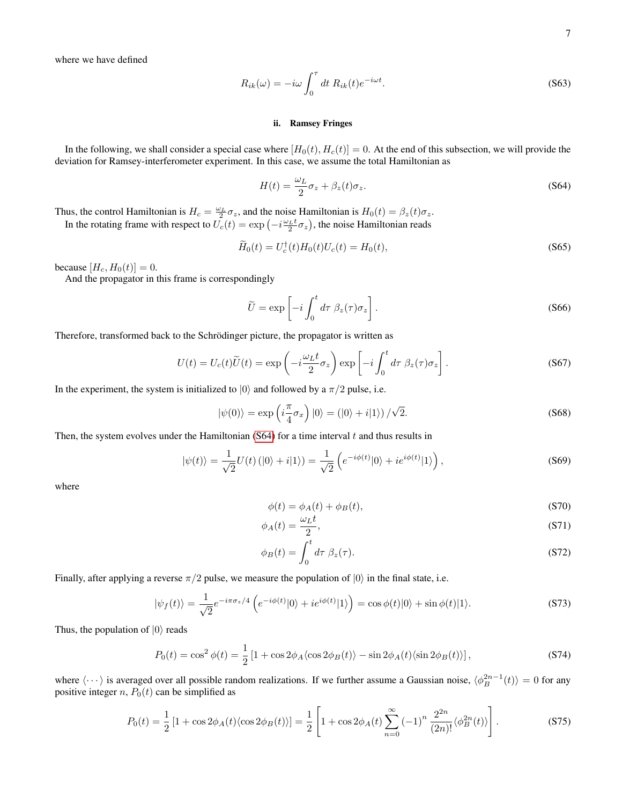where we have defined

$$
R_{ik}(\omega) = -i\omega \int_0^{\tau} dt \; R_{ik}(t) e^{-i\omega t}.
$$
 (S63)

## <span id="page-6-0"></span>ii. Ramsey Fringes

In the following, we shall consider a special case where  $[H_0(t), H_c(t)] = 0$ . At the end of this subsection, we will provide the deviation for Ramsey-interferometer experiment. In this case, we assume the total Hamiltonian as

<span id="page-6-1"></span>
$$
H(t) = \frac{\omega_L}{2}\sigma_z + \beta_z(t)\sigma_z.
$$
 (S64)

Thus, the control Hamiltonian is  $H_c = \frac{\omega_L}{2} \sigma_z$ , and the noise Hamiltonian is  $H_0(t) = \beta_z(t) \sigma_z$ . In the rotating frame with respect to  $\bar{U_c}(t) = \exp(-i\frac{\omega_L t}{2}\sigma_z)$ , the noise Hamiltonian reads

$$
\widetilde{H}_0(t) = U_c^{\dagger}(t)H_0(t)U_c(t) = H_0(t),
$$
\n(S65)

because  $[H_c, H_0(t)] = 0$ .

And the propagator in this frame is correspondingly

$$
\widetilde{U} = \exp\left[-i \int_0^t d\tau \ \beta_z(\tau) \sigma_z\right]. \tag{S66}
$$

Therefore, transformed back to the Schrödinger picture, the propagator is written as

$$
U(t) = U_c(t)\widetilde{U}(t) = \exp\left(-i\frac{\omega_L t}{2}\sigma_z\right)\exp\left[-i\int_0^t d\tau \ \beta_z(\tau)\sigma_z\right].
$$
\n(S67)

In the experiment, the system is initialized to  $|0\rangle$  and followed by a  $\pi/2$  pulse, i.e.

$$
|\psi(0)\rangle = \exp\left(i\frac{\pi}{4}\sigma_x\right)|0\rangle = (|0\rangle + i|1\rangle)/\sqrt{2}.
$$
 (S68)

Then, the system evolves under the Hamiltonian  $(S64)$  for a time interval t and thus results in

$$
|\psi(t)\rangle = \frac{1}{\sqrt{2}}U(t)(|0\rangle + i|1\rangle) = \frac{1}{\sqrt{2}}\left(e^{-i\phi(t)}|0\rangle + ie^{i\phi(t)}|1\rangle\right),\tag{S69}
$$

where

$$
\phi(t) = \phi_A(t) + \phi_B(t),\tag{S70}
$$

$$
\phi_A(t) = \frac{\omega_L t}{2},\tag{S71}
$$

$$
\phi_B(t) = \int_0^t d\tau \ \beta_z(\tau). \tag{S72}
$$

Finally, after applying a reverse  $\pi/2$  pulse, we measure the population of  $|0\rangle$  in the final state, i.e.

$$
|\psi_f(t)\rangle = \frac{1}{\sqrt{2}} e^{-i\pi\sigma_z/4} \left( e^{-i\phi(t)}|0\rangle + i e^{i\phi(t)}|1\rangle \right) = \cos\phi(t)|0\rangle + \sin\phi(t)|1\rangle. \tag{S73}
$$

Thus, the population of  $|0\rangle$  reads

$$
P_0(t) = \cos^2 \phi(t) = \frac{1}{2} \left[ 1 + \cos 2\phi_A \langle \cos 2\phi_B(t) \rangle - \sin 2\phi_A(t) \langle \sin 2\phi_B(t) \rangle \right],\tag{S74}
$$

where  $\langle \cdots \rangle$  is averaged over all possible random realizations. If we further assume a Gaussian noise,  $\langle \phi_B^{2n-1}(t) \rangle = 0$  for any positive integer n,  $P_0(t)$  can be simplified as

$$
P_0(t) = \frac{1}{2} \left[ 1 + \cos 2\phi_A(t) \langle \cos 2\phi_B(t) \rangle \right] = \frac{1}{2} \left[ 1 + \cos 2\phi_A(t) \sum_{n=0}^{\infty} (-1)^n \frac{2^{2n}}{(2n)!} \langle \phi_B^{2n}(t) \rangle \right].
$$
 (S75)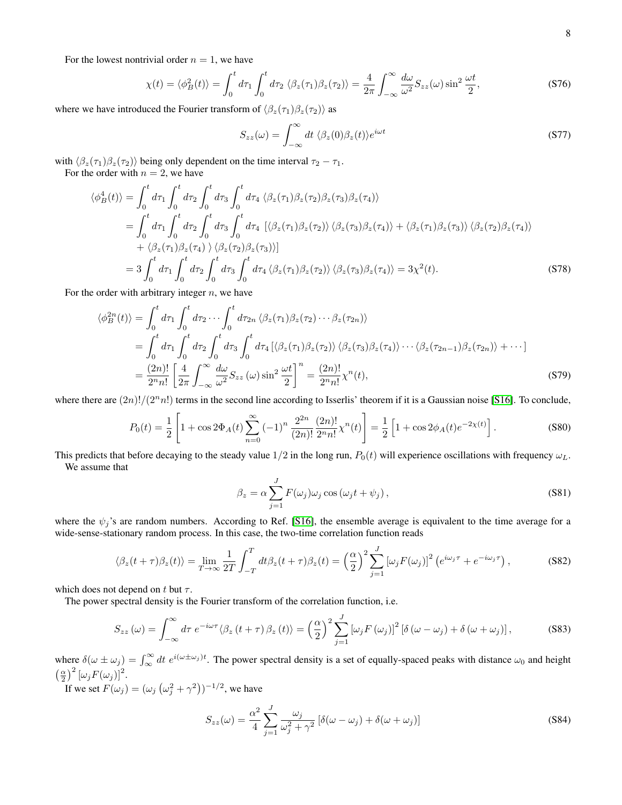For the lowest nontrivial order  $n = 1$ , we have

$$
\chi(t) = \langle \phi_B^2(t) \rangle = \int_0^t d\tau_1 \int_0^t d\tau_2 \langle \beta_z(\tau_1) \beta_z(\tau_2) \rangle = \frac{4}{2\pi} \int_{-\infty}^{\infty} \frac{d\omega}{\omega^2} S_{zz}(\omega) \sin^2 \frac{\omega t}{2},
$$
\n(S76)

where we have introduced the Fourier transform of  $\langle \beta_z(\tau_1) \beta_z(\tau_2) \rangle$  as

$$
S_{zz}(\omega) = \int_{-\infty}^{\infty} dt \ \langle \beta_z(0) \beta_z(t) \rangle e^{i\omega t}
$$
 (S77)

with  $\langle \beta_z(\tau_1)\beta_z(\tau_2)\rangle$  being only dependent on the time interval  $\tau_2 - \tau_1$ .

For the order with  $n = 2$ , we have

$$
\langle \phi_B^4(t) \rangle = \int_0^t d\tau_1 \int_0^t d\tau_2 \int_0^t d\tau_3 \int_0^t d\tau_4 \langle \beta_z(\tau_1) \beta_z(\tau_2) \beta_z(\tau_3) \beta_z(\tau_4) \rangle
$$
  
\n
$$
= \int_0^t d\tau_1 \int_0^t d\tau_2 \int_0^t d\tau_3 \int_0^t d\tau_4 \left[ \langle \beta_z(\tau_1) \beta_z(\tau_2) \rangle \langle \beta_z(\tau_3) \beta_z(\tau_4) \rangle + \langle \beta_z(\tau_1) \beta_z(\tau_3) \rangle \langle \beta_z(\tau_2) \beta_z(\tau_4) \rangle \right.
$$
  
\n
$$
+ \langle \beta_z(\tau_1) \beta_z(\tau_4) \rangle \langle \beta_z(\tau_2) \beta_z(\tau_3) \rangle]
$$
  
\n
$$
= 3 \int_0^t d\tau_1 \int_0^t d\tau_2 \int_0^t d\tau_3 \int_0^t d\tau_4 \langle \beta_z(\tau_1) \beta_z(\tau_2) \rangle \langle \beta_z(\tau_3) \beta_z(\tau_4) \rangle = 3\chi^2(t).
$$
 (S78)

For the order with arbitrary integer  $n$ , we have

$$
\langle \phi_B^{2n}(t) \rangle = \int_0^t d\tau_1 \int_0^t d\tau_2 \cdots \int_0^t d\tau_{2n} \langle \beta_z(\tau_1) \beta_z(\tau_2) \cdots \beta_z(\tau_{2n}) \rangle
$$
  
\n
$$
= \int_0^t d\tau_1 \int_0^t d\tau_2 \int_0^t d\tau_3 \int_0^t d\tau_4 \left[ \langle \beta_z(\tau_1) \beta_z(\tau_2) \rangle \langle \beta_z(\tau_3) \beta_z(\tau_4) \rangle \cdots \langle \beta_z(\tau_{2n-1}) \beta_z(\tau_{2n}) \rangle + \cdots \right]
$$
  
\n
$$
= \frac{(2n)!}{2^n n!} \left[ \frac{4}{2\pi} \int_{-\infty}^{\infty} \frac{d\omega}{\omega^2} S_{zz}(\omega) \sin^2 \frac{\omega t}{2} \right]^n = \frac{(2n)!}{2^n n!} \chi^n(t), \tag{S79}
$$

where there are  $(2n)!/(2<sup>n</sup>n!)$  terms in the second line according to Isserlis' theorem if it is a Gaussian noise [\[S16\]](#page-15-11). To conclude,

$$
P_0(t) = \frac{1}{2} \left[ 1 + \cos 2\Phi_A(t) \sum_{n=0}^{\infty} (-1)^n \frac{2^{2n}}{(2n)!} \frac{(2n)!}{2^n n!} \chi^n(t) \right] = \frac{1}{2} \left[ 1 + \cos 2\phi_A(t) e^{-2\chi(t)} \right].
$$
 (S80)

This predicts that before decaying to the steady value  $1/2$  in the long run,  $P_0(t)$  will experience oscillations with frequency  $\omega_L$ . We assume that

$$
\beta_z = \alpha \sum_{j=1}^{J} F(\omega_j) \omega_j \cos(\omega_j t + \psi_j), \qquad (S81)
$$

where the  $\psi_i$ 's are random numbers. According to Ref. [\[S16\]](#page-15-11), the ensemble average is equivalent to the time average for a wide-sense-stationary random process. In this case, the two-time correlation function reads

$$
\langle \beta_z(t+\tau)\beta_z(t) \rangle = \lim_{T \to \infty} \frac{1}{2T} \int_{-T}^{T} dt \beta_z(t+\tau)\beta_z(t) = \left(\frac{\alpha}{2}\right)^2 \sum_{j=1}^{J} \left[\omega_j F(\omega_j)\right]^2 \left(e^{i\omega_j \tau} + e^{-i\omega_j \tau}\right),\tag{S82}
$$

which does not depend on t but  $\tau$ .

The power spectral density is the Fourier transform of the correlation function, i.e.

$$
S_{zz}(\omega) = \int_{-\infty}^{\infty} d\tau \ e^{-i\omega\tau} \langle \beta_z(t+\tau) \beta_z(t) \rangle = \left(\frac{\alpha}{2}\right)^2 \sum_{j=1}^{J} \left[\omega_j F(\omega_j)\right]^2 \left[\delta(\omega - \omega_j) + \delta(\omega + \omega_j)\right],\tag{S83}
$$

where  $\delta(\omega \pm \omega_j) = \int_{\infty}^{\infty} dt \ e^{i(\omega \pm \omega_j)t}$ . The power spectral density is a set of equally-spaced peaks with distance  $\omega_0$  and height  $\left(\frac{\alpha}{2}\right)^2 \left[\omega_j F(\omega_j)\right]^2$ .

If we set  $F(\omega_j) = (\omega_j \left( \omega_j^2 + \gamma^2 \right))^{-1/2}$ , we have

$$
S_{zz}(\omega) = \frac{\alpha^2}{4} \sum_{j=1}^{J} \frac{\omega_j}{\omega_j^2 + \gamma^2} \left[ \delta(\omega - \omega_j) + \delta(\omega + \omega_j) \right]
$$
(S84)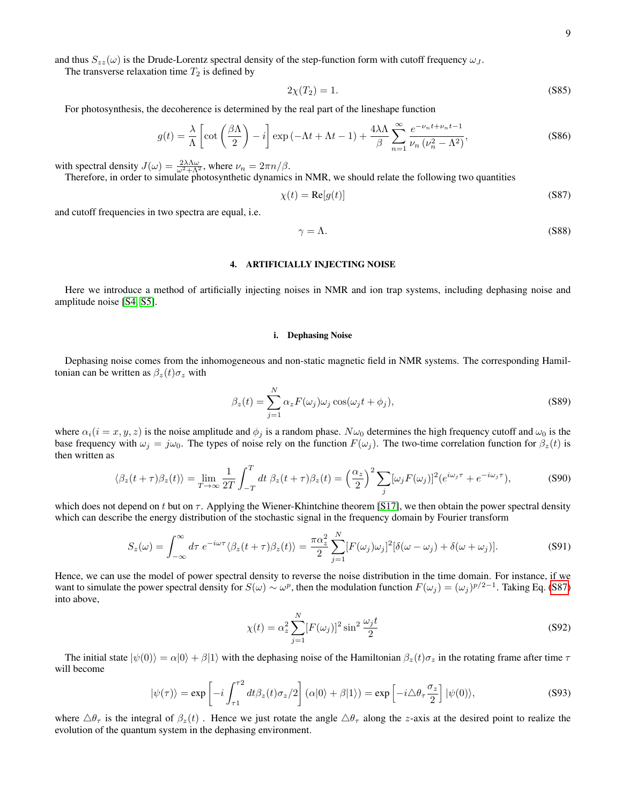and thus  $S_{zz}(\omega)$  is the Drude-Lorentz spectral density of the step-function form with cutoff frequency  $\omega_J$ .

The transverse relaxation time  $T_2$  is defined by

$$
2\chi(T_2) = 1.\tag{S85}
$$

For photosynthesis, the decoherence is determined by the real part of the lineshape function

$$
g(t) = \frac{\lambda}{\Lambda} \left[ \cot \left( \frac{\beta \Lambda}{2} \right) - i \right] \exp \left( -\Lambda t + \Lambda t - 1 \right) + \frac{4\lambda \Lambda}{\beta} \sum_{n=1}^{\infty} \frac{e^{-\nu_n t + \nu_n t - 1}}{\nu_n \left( \nu_n^2 - \Lambda^2 \right)},
$$
(S86)

with spectral density  $J(\omega) = \frac{2\lambda\Lambda\omega}{\omega^2 + \Lambda^2}$ , where  $\nu_n = 2\pi n/\beta$ .

Therefore, in order to simulate photosynthetic dynamics in NMR, we should relate the following two quantities

<span id="page-8-2"></span>
$$
\chi(t) = \text{Re}[g(t)] \tag{S87}
$$

and cutoff frequencies in two spectra are equal, i.e.

$$
\gamma = \Lambda. \tag{S88}
$$

### <span id="page-8-0"></span>4. ARTIFICIALLY INJECTING NOISE

Here we introduce a method of artificially injecting noises in NMR and ion trap systems, including dephasing noise and amplitude noise [\[S4,](#page-15-12) [S5\]](#page-15-13).

#### <span id="page-8-1"></span>i. Dephasing Noise

Dephasing noise comes from the inhomogeneous and non-static magnetic field in NMR systems. The corresponding Hamiltonian can be written as  $\beta_z(t)\sigma_z$  with

$$
\beta_z(t) = \sum_{j=1}^{N} \alpha_z F(\omega_j) \omega_j \cos(\omega_j t + \phi_j), \qquad (S89)
$$

where  $\alpha_i(i = x, y, z)$  is the noise amplitude and  $\phi_i$  is a random phase.  $N\omega_0$  determines the high frequency cutoff and  $\omega_0$  is the base frequency with  $\omega_j = j\omega_0$ . The types of noise rely on the function  $F(\omega_j)$ . The two-time correlation function for  $\beta_z(t)$  is then written as

$$
\langle \beta_z(t+\tau)\beta_z(t)\rangle = \lim_{T\to\infty} \frac{1}{2T} \int_{-T}^T dt \ \beta_z(t+\tau)\beta_z(t) = \left(\frac{\alpha_z}{2}\right)^2 \sum_j [\omega_j F(\omega_j)]^2 (e^{i\omega_j \tau} + e^{-i\omega_j \tau}), \tag{S90}
$$

which does not depend on t but on  $\tau$ . Applying the Wiener-Khintchine theorem [\[S17\]](#page-15-14), we then obtain the power spectral density which can describe the energy distribution of the stochastic signal in the frequency domain by Fourier transform

$$
S_z(\omega) = \int_{-\infty}^{\infty} d\tau \ e^{-i\omega\tau} \langle \beta_z(t+\tau) \beta_z(t) \rangle = \frac{\pi \alpha_z^2}{2} \sum_{j=1}^{N} [F(\omega_j) \omega_j]^2 [\delta(\omega - \omega_j) + \delta(\omega + \omega_j)]. \tag{S91}
$$

Hence, we can use the model of power spectral density to reverse the noise distribution in the time domain. For instance, if we want to simulate the power spectral density for  $S(\omega) \sim \omega^p$ , then the modulation function  $F(\omega_j) = (\omega_j)^{p/2-1}$ . Taking Eq. [\(S87\)](#page-8-2) into above,

<span id="page-8-3"></span>
$$
\chi(t) = \alpha_z^2 \sum_{j=1}^N [F(\omega_j)]^2 \sin^2 \frac{\omega_j t}{2}
$$
\n
$$
(S92)
$$

The initial state  $|\psi(0)\rangle = \alpha|0\rangle + \beta|1\rangle$  with the dephasing noise of the Hamiltonian  $\beta_z(t)\sigma_z$  in the rotating frame after time  $\tau$ will become

$$
|\psi(\tau)\rangle = \exp\left[-i\int_{\tau_1}^{\tau_2} dt \beta_z(t)\sigma_z/2\right](\alpha|0\rangle + \beta|1\rangle) = \exp\left[-i\Delta\theta_\tau \frac{\sigma_z}{2}\right] |\psi(0)\rangle,\tag{S93}
$$

where  $\triangle \theta_{\tau}$  is the integral of  $\beta_{z}(t)$ . Hence we just rotate the angle  $\triangle \theta_{\tau}$  along the z-axis at the desired point to realize the evolution of the quantum system in the dephasing environment.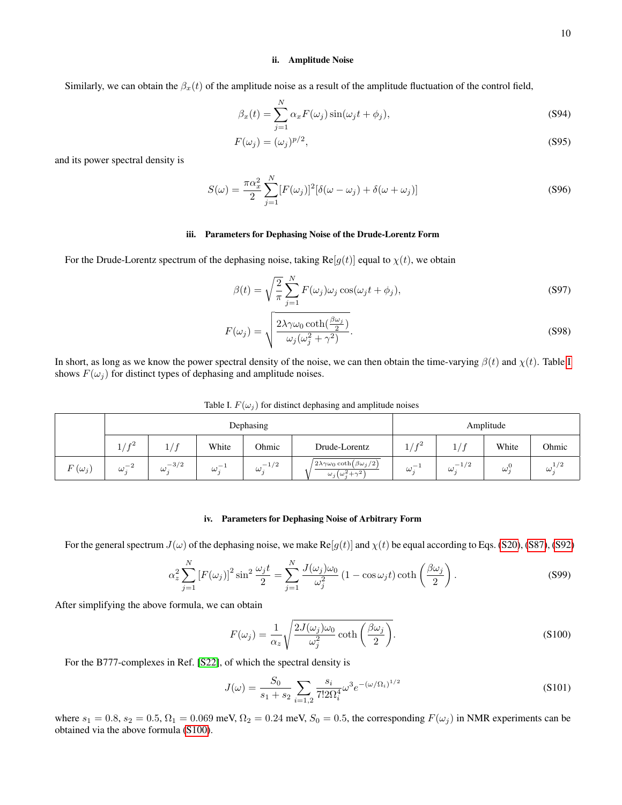### <span id="page-9-0"></span>ii. Amplitude Noise

Similarly, we can obtain the  $\beta_x(t)$  of the amplitude noise as a result of the amplitude fluctuation of the control field,

$$
\beta_x(t) = \sum_{j=1}^{N} \alpha_x F(\omega_j) \sin(\omega_j t + \phi_j), \tag{S94}
$$

$$
F(\omega_j) = (\omega_j)^{p/2},\tag{S95}
$$

and its power spectral density is

$$
S(\omega) = \frac{\pi \alpha_x^2}{2} \sum_{j=1}^{N} [F(\omega_j)]^2 [\delta(\omega - \omega_j) + \delta(\omega + \omega_j)] \tag{S96}
$$

# <span id="page-9-1"></span>iii. Parameters for Dephasing Noise of the Drude-Lorentz Form

For the Drude-Lorentz spectrum of the dephasing noise, taking  $Re[g(t)]$  equal to  $\chi(t)$ , we obtain

$$
\beta(t) = \sqrt{\frac{2}{\pi}} \sum_{j=1}^{N} F(\omega_j) \omega_j \cos(\omega_j t + \phi_j), \tag{S97}
$$

$$
F(\omega_j) = \sqrt{\frac{2\lambda\gamma\omega_0\coth(\frac{\beta\omega_j}{2})}{\omega_j(\omega_j^2 + \gamma^2)}}.
$$
\n(S98)

In short, as long as we know the power spectral density of the noise, we can then obtain the time-varying  $\beta(t)$  and  $\chi(t)$ . Table [I](#page-9-3) shows  $F(\omega_j)$  for distinct types of dephasing and amplitude noises.

<span id="page-9-3"></span>Table I.  $F(\omega_i)$  for distinct dephasing and amplitude noises

|               | Dephasing                    |                      |                                      |                                           | Amplitude                                                                                                   |                      |                    |          |                   |
|---------------|------------------------------|----------------------|--------------------------------------|-------------------------------------------|-------------------------------------------------------------------------------------------------------------|----------------------|--------------------|----------|-------------------|
|               | r <sub>2</sub><br>ᅩ          |                      | White                                | Ohmic                                     | Drude-Lorentz                                                                                               | r <sub>2</sub><br>÷, | ÷,                 | White    | Ohmic             |
| $F(\omega_j)$ | $\Omega$<br>$-2$<br>$\omega$ | $-3/2$<br>$\omega$ . | $\overline{\phantom{a}}$<br>$\omega$ | $-1/2$<br>$\omega_{\scriptscriptstyle s}$ | $\left(2\lambda\gamma\omega_0\coth\left(\beta\omega_j/2\right)\right)$<br>$\omega_i(\omega_i^2 + \gamma^2)$ | $\omega$             | $-1/2$<br>$\omega$ | $\omega$ | 1/2<br>$\omega$ . |

# <span id="page-9-2"></span>iv. Parameters for Dephasing Noise of Arbitrary Form

For the general spectrum  $J(\omega)$  of the dephasing noise, we make Re $[g(t)]$  and  $\chi(t)$  be equal according to Eqs. [\(S20\)](#page-2-0), [\(S87\)](#page-8-2), [\(S92\)](#page-8-3)

$$
\alpha_z^2 \sum_{j=1}^N \left[ F(\omega_j) \right]^2 \sin^2 \frac{\omega_j t}{2} = \sum_{j=1}^N \frac{J(\omega_j) \omega_0}{\omega_j^2} \left( 1 - \cos \omega_j t \right) \coth \left( \frac{\beta \omega_j}{2} \right). \tag{S99}
$$

After simplifying the above formula, we can obtain

<span id="page-9-4"></span>
$$
F(\omega_j) = \frac{1}{\alpha_z} \sqrt{\frac{2J(\omega_j)\omega_0}{\omega_j^2} \coth\left(\frac{\beta\omega_j}{2}\right)}.
$$
\n( S100)

For the B777-complexes in Ref. [\[S22\]](#page-15-15), of which the spectral density is

$$
J(\omega) = \frac{S_0}{s_1 + s_2} \sum_{i=1,2} \frac{s_i}{7! 2\Omega_i^4} \omega^3 e^{-(\omega/\Omega_i)^{1/2}}
$$
(S101)

where  $s_1 = 0.8$ ,  $s_2 = 0.5$ ,  $\Omega_1 = 0.069$  meV,  $\Omega_2 = 0.24$  meV,  $S_0 = 0.5$ , the corresponding  $F(\omega_j)$  in NMR experiments can be obtained via the above formula [\(S100\)](#page-9-4).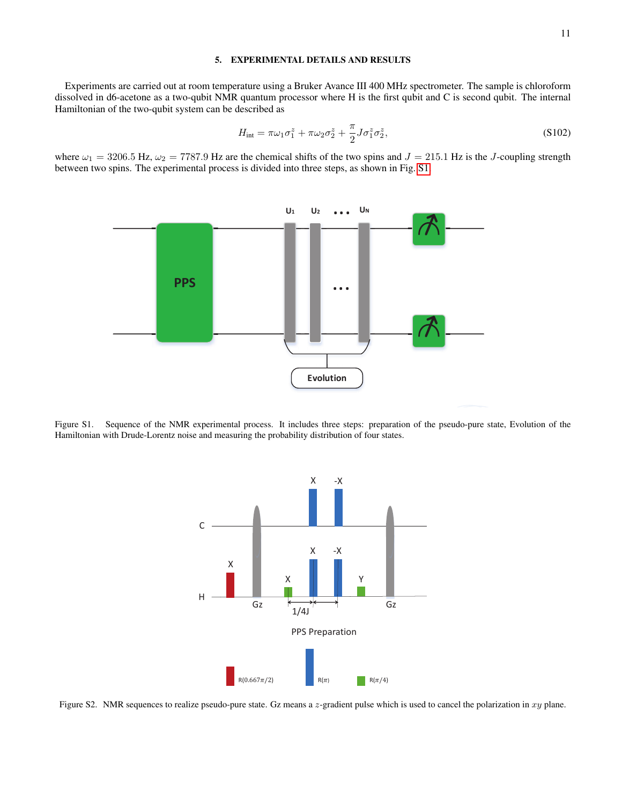# <span id="page-10-0"></span>5. EXPERIMENTAL DETAILS AND RESULTS

Experiments are carried out at room temperature using a Bruker Avance III 400 MHz spectrometer. The sample is chloroform dissolved in d6-acetone as a two-qubit NMR quantum processor where H is the first qubit and C is second qubit. The internal Hamiltonian of the two-qubit system can be described as

$$
H_{\text{int}} = \pi \omega_1 \sigma_1^z + \pi \omega_2 \sigma_2^z + \frac{\pi}{2} J \sigma_1^z \sigma_2^z, \tag{S102}
$$

where  $\omega_1 = 3206.5$  Hz,  $\omega_2 = 7787.9$  Hz are the chemical shifts of the two spins and  $J = 215.1$  Hz is the J-coupling strength between two spins. The experimental process is divided into three steps, as shown in Fig. [S1.](#page-10-1)



<span id="page-10-1"></span>Figure S1. Sequence of the NMR experimental process. It includes three steps: preparation of the pseudo-pure state, Evolution of the Hamiltonian with Drude-Lorentz noise and measuring the probability distribution of four states.



<span id="page-10-2"></span>Figure S2. NMR sequences to realize pseudo-pure state. Gz means a z-gradient pulse which is used to cancel the polarization in xy plane.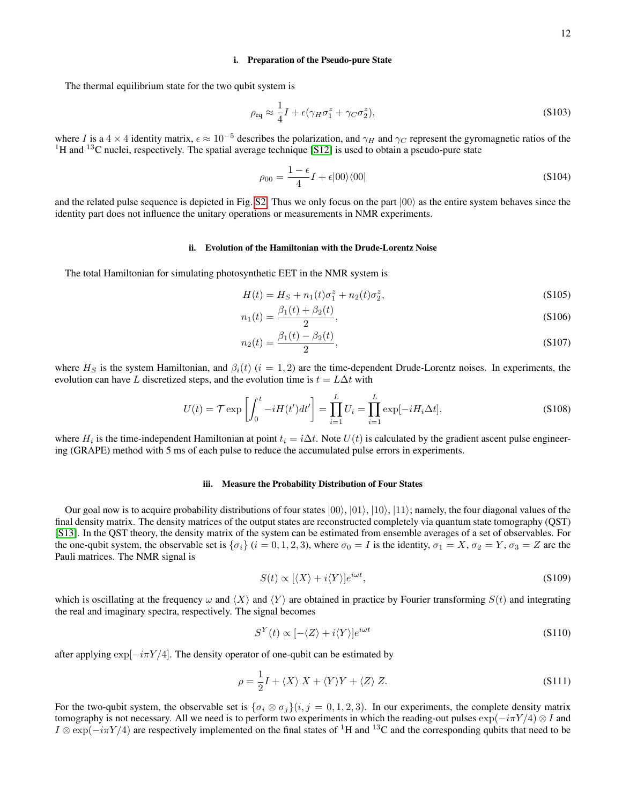#### <span id="page-11-0"></span>i. Preparation of the Pseudo-pure State

The thermal equilibrium state for the two qubit system is

$$
\rho_{\text{eq}} \approx \frac{1}{4}I + \epsilon(\gamma_H \sigma_1^z + \gamma_C \sigma_2^z), \tag{S103}
$$

where I is a  $4 \times 4$  identity matrix,  $\epsilon \approx 10^{-5}$  describes the polarization, and  $\gamma_H$  and  $\gamma_C$  represent the gyromagnetic ratios of the <sup>1</sup>H and <sup>13</sup>C nuclei, respectively. The spatial average technique [\[S12\]](#page-15-16) is used to obtain a pseudo-pure state

$$
\rho_{00} = \frac{1 - \epsilon}{4} I + \epsilon |00\rangle\langle00|
$$
 (S104)

and the related pulse sequence is depicted in Fig. [S2.](#page-10-2) Thus we only focus on the part  $|00\rangle$  as the entire system behaves since the identity part does not influence the unitary operations or measurements in NMR experiments.

## <span id="page-11-1"></span>ii. Evolution of the Hamiltonian with the Drude-Lorentz Noise

The total Hamiltonian for simulating photosynthetic EET in the NMR system is

$$
H(t) = HS + n1(t)\sigma_1^z + n_2(t)\sigma_2^z,
$$
\n(S105)

$$
n_1(t) = \frac{\beta_1(t) + \beta_2(t)}{2},
$$
\n(S106)

$$
n_2(t) = \frac{\beta_1(t) - \beta_2(t)}{2},\tag{S107}
$$

where  $H<sub>S</sub>$  is the system Hamiltonian, and  $\beta_i(t)$  (i = 1, 2) are the time-dependent Drude-Lorentz noises. In experiments, the evolution can have L discretized steps, and the evolution time is  $t = L\Delta t$  with

$$
U(t) = \mathcal{T} \exp\left[\int_0^t -iH(t')dt'\right] = \prod_{i=1}^L U_i = \prod_{i=1}^L \exp[-iH_i\Delta t],\tag{S108}
$$

where  $H_i$  is the time-independent Hamiltonian at point  $t_i = i\Delta t$ . Note  $U(t)$  is calculated by the gradient ascent pulse engineering (GRAPE) method with 5 ms of each pulse to reduce the accumulated pulse errors in experiments.

#### <span id="page-11-2"></span>iii. Measure the Probability Distribution of Four States

Our goal now is to acquire probability distributions of four states  $|00\rangle$ ,  $|01\rangle$ ,  $|10\rangle$ ,  $|11\rangle$ ; namely, the four diagonal values of the final density matrix. The density matrices of the output states are reconstructed completely via quantum state tomography (QST) [\[S13\]](#page-15-17). In the QST theory, the density matrix of the system can be estimated from ensemble averages of a set of observables. For the one-qubit system, the observable set is  $\{\sigma_i\}$  ( $i = 0, 1, 2, 3$ ), where  $\sigma_0 = I$  is the identity,  $\sigma_1 = X$ ,  $\sigma_2 = Y$ ,  $\sigma_3 = Z$  are the Pauli matrices. The NMR signal is

$$
S(t) \propto [\langle X \rangle + i \langle Y \rangle] e^{i\omega t}, \tag{S109}
$$

which is oscillating at the frequency  $\omega$  and  $\langle X \rangle$  and  $\langle Y \rangle$  are obtained in practice by Fourier transforming  $S(t)$  and integrating the real and imaginary spectra, respectively. The signal becomes

$$
S^{Y}(t) \propto [ - \langle Z \rangle + i \langle Y \rangle] e^{i\omega t}
$$
\n<sup>(S110)</sup>

after applying  $\exp[-i\pi Y/4]$ . The density operator of one-qubit can be estimated by

$$
\rho = \frac{1}{2}I + \langle X \rangle X + \langle Y \rangle Y + \langle Z \rangle Z. \tag{S111}
$$

For the two-qubit system, the observable set is  $\{\sigma_i \otimes \sigma_j\}(i, j = 0, 1, 2, 3)$ . In our experiments, the complete density matrix tomography is not necessary. All we need is to perform two experiments in which the reading-out pulses  $\exp(-i\pi Y/4) \otimes I$  and  $I \otimes \exp(-i\pi Y/4)$  are respectively implemented on the final states of <sup>1</sup>H and <sup>13</sup>C and the corresponding qubits that need to be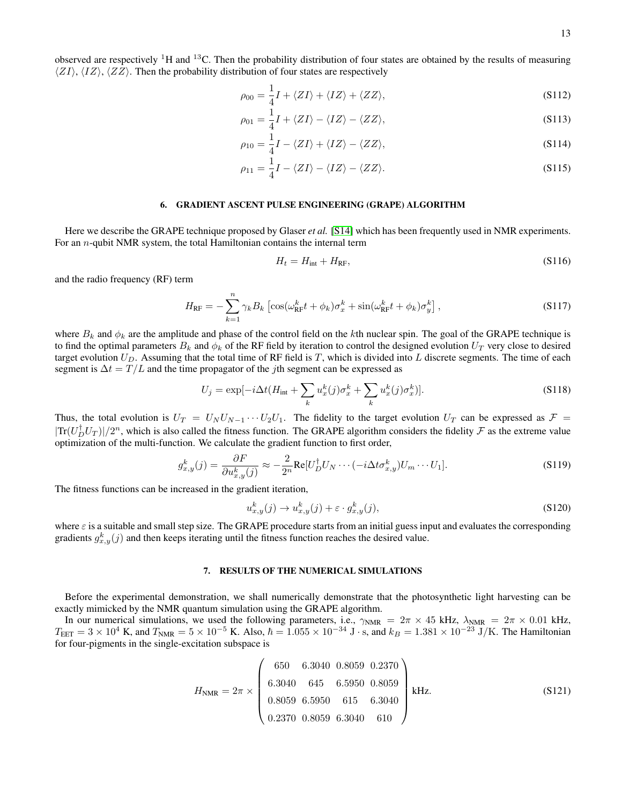observed are respectively  ${}^{1}H$  and  ${}^{13}C$ . Then the probability distribution of four states are obtained by the results of measuring  $\langle ZI \rangle$ ,  $\langle IZ \rangle$ ,  $\langle ZZ \rangle$ . Then the probability distribution of four states are respectively

$$
\rho_{00} = \frac{1}{4}I + \langle ZI \rangle + \langle IZ \rangle + \langle ZZ \rangle, \tag{S112}
$$

$$
\rho_{01} = \frac{1}{4}I + \langle ZI \rangle - \langle IZ \rangle - \langle ZZ \rangle, \tag{S113}
$$

$$
\rho_{10} = \frac{1}{4}I - \langle ZI \rangle + \langle IZ \rangle - \langle ZZ \rangle, \tag{S114}
$$

$$
\rho_{11} = \frac{1}{4}I - \langle ZI \rangle - \langle IZ \rangle - \langle ZZ \rangle. \tag{S115}
$$

#### <span id="page-12-0"></span>6. GRADIENT ASCENT PULSE ENGINEERING (GRAPE) ALGORITHM

Here we describe the GRAPE technique proposed by Glaser *et al.* [\[S14\]](#page-15-18) which has been frequently used in NMR experiments. For an n-qubit NMR system, the total Hamiltonian contains the internal term

$$
H_t = H_{\text{int}} + H_{\text{RF}},\tag{S116}
$$

and the radio frequency (RF) term

$$
H_{\rm RF} = -\sum_{k=1}^{n} \gamma_k B_k \left[ \cos(\omega_{\rm RF}^k t + \phi_k) \sigma_x^k + \sin(\omega_{\rm RF}^k t + \phi_k) \sigma_y^k \right], \tag{S117}
$$

where  $B_k$  and  $\phi_k$  are the amplitude and phase of the control field on the kth nuclear spin. The goal of the GRAPE technique is to find the optimal parameters  $B_k$  and  $\phi_k$  of the RF field by iteration to control the designed evolution  $U_T$  very close to desired target evolution  $U_D$ . Assuming that the total time of RF field is T, which is divided into L discrete segments. The time of each segment is  $\Delta t = T/L$  and the time propagator of the *j*th segment can be expressed as

$$
U_j = \exp[-i\Delta t (H_{\text{int}} + \sum_k u_x^k(j)\sigma_x^k + \sum_k u_x^k(j)\sigma_x^k)].
$$
\n(S118)

Thus, the total evolution is  $U_T = U_N U_{N-1} \cdots U_2 U_1$ . The fidelity to the target evolution  $U_T$  can be expressed as  $\mathcal{F} =$  $|\text{Tr}(U_D^{\dagger}U_T)|/2^n$ , which is also called the fitness function. The GRAPE algorithm considers the fidelity  $\mathcal F$  as the extreme value optimization of the multi-function. We calculate the gradient function to first order,

$$
g_{x,y}^k(j) = \frac{\partial F}{\partial u_{x,y}^k(j)} \approx -\frac{2}{2^n} \text{Re}[U_D^{\dagger} U_N \cdots (-i \Delta t \sigma_{x,y}^k) U_m \cdots U_1].
$$
\n(S119)

The fitness functions can be increased in the gradient iteration,

$$
u_{x,y}^k(j) \to u_{x,y}^k(j) + \varepsilon \cdot g_{x,y}^k(j),\tag{S120}
$$

where  $\varepsilon$  is a suitable and small step size. The GRAPE procedure starts from an initial guess input and evaluates the corresponding gradients  $g_{x,y}^k(j)$  and then keeps iterating until the fitness function reaches the desired value.

### <span id="page-12-1"></span>7. RESULTS OF THE NUMERICAL SIMULATIONS

Before the experimental demonstration, we shall numerically demonstrate that the photosynthetic light harvesting can be exactly mimicked by the NMR quantum simulation using the GRAPE algorithm.

In our numerical simulations, we used the following parameters, i.e.,  $\gamma_{NMR} = 2\pi \times 45$  kHz,  $\lambda_{NMR} = 2\pi \times 0.01$  kHz,  $T_{\text{EET}} = 3 \times 10^4 \text{ K}$ , and  $T_{\text{NMR}} = 5 \times 10^{-5} \text{ K}$ . Also,  $\hbar = 1.055 \times 10^{-34} \text{ J} \cdot \text{s}$ , and  $k_B = 1.381 \times 10^{-23} \text{ J/K}$ . The Hamiltonian for four-pigments in the single-excitation subspace is

$$
H_{\text{NMR}} = 2\pi \times \begin{pmatrix} 650 & 6.3040 & 0.8059 & 0.2370 \\ 6.3040 & 645 & 6.5950 & 0.8059 \\ 0.8059 & 6.5950 & 615 & 6.3040 \\ 0.2370 & 0.8059 & 6.3040 & 610 \end{pmatrix} \text{kHz.}
$$
 (S121)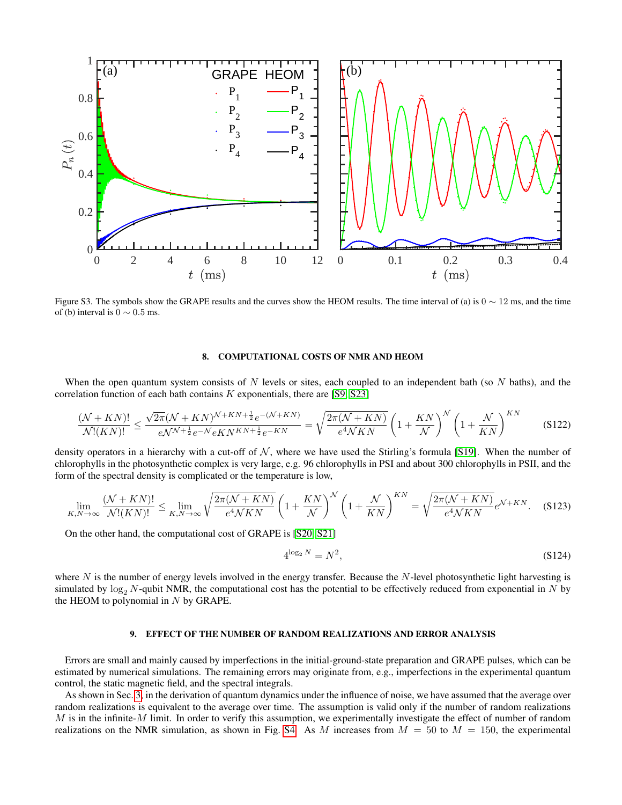

Figure S3. The symbols show the GRAPE results and the curves show the HEOM results. The time interval of (a) is  $0 \sim 12$  ms, and the time of (b) interval is  $0 \sim 0.5$  ms.

# <span id="page-13-0"></span>8. COMPUTATIONAL COSTS OF NMR AND HEOM

When the open quantum system consists of N levels or sites, each coupled to an independent bath (so  $N$  baths), and the correlation function of each bath contains  $K$  exponentials, there are [\[S9,](#page-15-6) [S23\]](#page-15-19)

$$
\frac{(\mathcal{N} + KN)!}{\mathcal{N}!(KN)!} \le \frac{\sqrt{2\pi}(\mathcal{N} + KN)^{\mathcal{N} + KN + \frac{1}{2}}e^{-(\mathcal{N} + KN)}}{e^{\mathcal{N} + \frac{1}{2}}e^{-\mathcal{N} + \frac{1}{2}}e^{-KN}} = \sqrt{\frac{2\pi(\mathcal{N} + KN)}{e^4\mathcal{N}KN}} \left(1 + \frac{KN}{\mathcal{N}}\right)^{\mathcal{N}} \left(1 + \frac{\mathcal{N}}{KN}\right)^{KN}
$$
(S122)

density operators in a hierarchy with a cut-off of  $N$ , where we have used the Stirling's formula [\[S19\]](#page-15-20). When the number of chlorophylls in the photosynthetic complex is very large, e.g. 96 chlorophylls in PSI and about 300 chlorophylls in PSII, and the form of the spectral density is complicated or the temperature is low,

$$
\lim_{K,N\to\infty} \frac{(\mathcal{N}+KN)!}{\mathcal{N}!(KN)!} \le \lim_{K,N\to\infty} \sqrt{\frac{2\pi(\mathcal{N}+KN)}{e^4\mathcal{N}KN}} \left(1+\frac{KN}{\mathcal{N}}\right)^{\mathcal{N}} \left(1+\frac{\mathcal{N}}{KN}\right)^{KN} = \sqrt{\frac{2\pi(\mathcal{N}+KN)}{e^4\mathcal{N}KN}}e^{\mathcal{N}+KN}.\tag{S123}
$$

On the other hand, the computational cost of GRAPE is [\[S20,](#page-15-21) [S21\]](#page-15-22)

$$
4^{\log_2 N} = N^2,\tag{S124}
$$

where  $N$  is the number of energy levels involved in the energy transfer. Because the  $N$ -level photosynthetic light harvesting is simulated by  $\log_2 N$ -qubit NMR, the computational cost has the potential to be effectively reduced from exponential in N by the HEOM to polynomial in  $N$  by GRAPE.

## <span id="page-13-1"></span>9. EFFECT OF THE NUMBER OF RANDOM REALIZATIONS AND ERROR ANALYSIS

Errors are small and mainly caused by imperfections in the initial-ground-state preparation and GRAPE pulses, which can be estimated by numerical simulations. The remaining errors may originate from, e.g., imperfections in the experimental quantum control, the static magnetic field, and the spectral integrals.

As shown in Sec. [3,](#page-4-0) in the derivation of quantum dynamics under the influence of noise, we have assumed that the average over random realizations is equivalent to the average over time. The assumption is valid only if the number of random realizations M is in the infinite-M limit. In order to verify this assumption, we experimentally investigate the effect of number of random realizations on the NMR simulation, as shown in Fig. [S4.](#page-14-0) As M increases from  $M = 50$  to  $M = 150$ , the experimental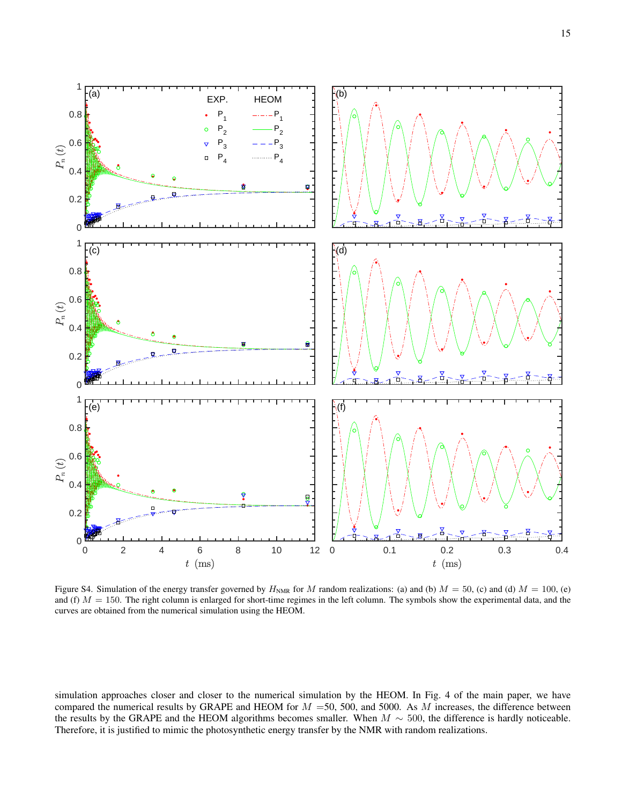

<span id="page-14-0"></span>Figure S4. Simulation of the energy transfer governed by  $H<sub>NMR</sub>$  for M random realizations: (a) and (b)  $M = 50$ , (c) and (d)  $M = 100$ , (e) and (f)  $M = 150$ . The right column is enlarged for short-time regimes in the left column. The symbols show the experimental data, and the curves are obtained from the numerical simulation using the HEOM.

simulation approaches closer and closer to the numerical simulation by the HEOM. In Fig. 4 of the main paper, we have compared the numerical results by GRAPE and HEOM for  $M = 50$ , 500, and 5000. As M increases, the difference between the results by the GRAPE and the HEOM algorithms becomes smaller. When  $M \sim 500$ , the difference is hardly noticeable. Therefore, it is justified to mimic the photosynthetic energy transfer by the NMR with random realizations.